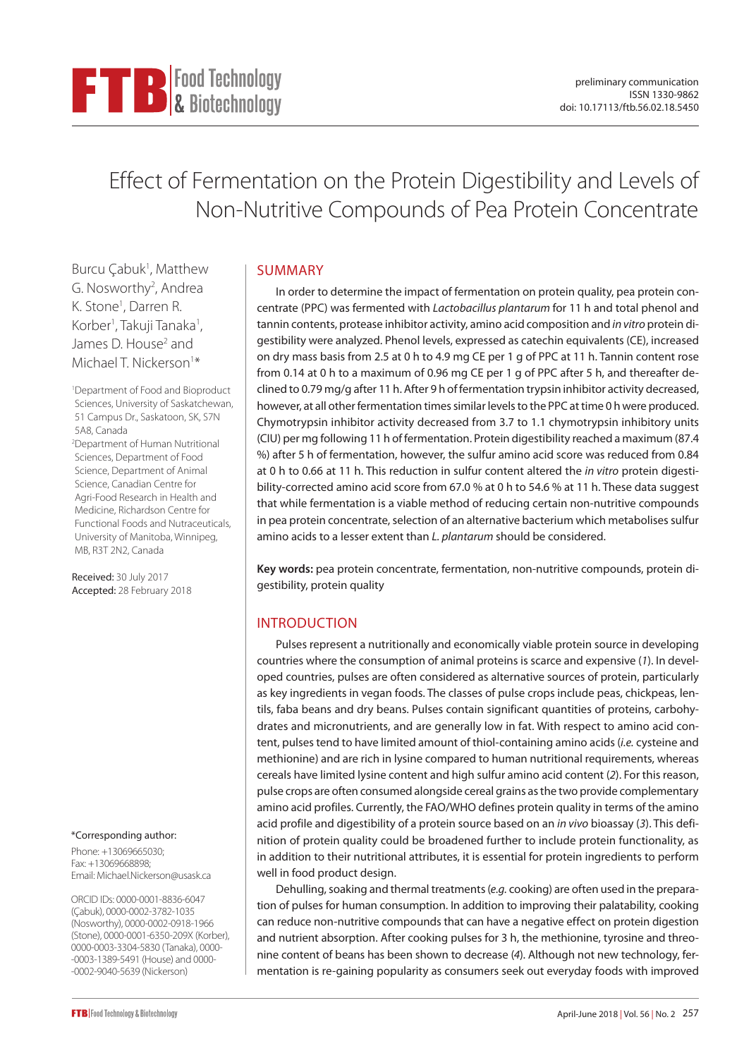

# Effect of Fermentation on the Protein Digestibility and Levels of Non-Nutritive Compounds of Pea Protein Concentrate

Burcu Çabuk<sup>1</sup>, Matthew G. Nosworthy<sup>2</sup>, Andrea K. Stone<sup>1</sup>, Darren R. Korber<sup>1</sup>, Takuji Tanaka<sup>1</sup>, James D. House<sup>2</sup> and Michael T. Nickerson<sup>1\*</sup>

1 Department of Food and Bioproduct Sciences, University of Saskatchewan, 51 Campus Dr., Saskatoon, SK, S7N 5A8, Canada 2 Department of Human Nutritional Sciences, Department of Food Science, Department of Animal Science, Canadian Centre for Agri-Food Research in Health and Medicine, Richardson Centre for Functional Foods and Nutraceuticals, University of Manitoba, Winnipeg, MB, R3T 2N2, Canada

Received: 30 July 2017 Accepted: 28 February 2018

#### \*Corresponding author:

Phone: +13069665030; Fax: +13069668898; Email: [Michael.Nickerson@usask.ca](mailto:Michael.Nickerson@usask.ca)

ORCID IDs: 0000-0001-8836-6047 (Çabuk), 0000-0002-3782-1035 (Nosworthy), 0000-0002-0918-1966 (Stone), 0000-0001-6350-209X (Korber), 0000-0003-3304-5830 (Tanaka), 0000- -0003-1389-5491 (House) and 0000- -0002-9040-5639 (Nickerson)

## SUMMARY

In order to determine the impact of fermentation on protein quality, pea protein concentrate (PPC) was fermented with *Lactobacillus plantarum* for 11 h and total phenol and tannin contents, protease inhibitor activity, amino acid composition and *in vitro* protein digestibility were analyzed. Phenol levels, expressed as catechin equivalents (CE), increased on dry mass basis from 2.5 at 0 h to 4.9 mg CE per 1 g of PPC at 11 h. Tannin content rose from 0.14 at 0 h to a maximum of 0.96 mg CE per 1 g of PPC after 5 h, and thereafter declined to 0.79 mg/g after 11 h. After 9 h of fermentation trypsin inhibitor activity decreased, however, at all other fermentation times similar levels to the PPC at time 0 h were produced. Chymotrypsin inhibitor activity decreased from 3.7 to 1.1 chymotrypsin inhibitory units (CIU) per mg following 11 h of fermentation. Protein digestibility reached a maximum (87.4 %) after 5 h of fermentation, however, the sulfur amino acid score was reduced from 0.84 at 0 h to 0.66 at 11 h. This reduction in sulfur content altered the *in vitro* protein digestibility-corrected amino acid score from 67.0 % at 0 h to 54.6 % at 11 h. These data suggest that while fermentation is a viable method of reducing certain non-nutritive compounds in pea protein concentrate, selection of an alternative bacterium which metabolises sulfur amino acids to a lesser extent than *L. plantarum* should be considered.

**Key words:** pea protein concentrate, fermentation, non-nutritive compounds, protein digestibility, protein quality

# INTRODUCTION

Pulses represent a nutritionally and economically viable protein source in developing countries where the consumption of animal proteins is scarce and expensive (*1*). In developed countries, pulses are often considered as alternative sources of protein, particularly as key ingredients in vegan foods. The classes of pulse crops include peas, chickpeas, lentils, faba beans and dry beans. Pulses contain significant quantities of proteins, carbohydrates and micronutrients, and are generally low in fat. With respect to amino acid content, pulses tend to have limited amount of thiol-containing amino acids (*i.e.* cysteine and methionine) and are rich in lysine compared to human nutritional requirements, whereas cereals have limited lysine content and high sulfur amino acid content (*2*). For this reason, pulse crops are often consumed alongside cereal grains as the two provide complementary amino acid profiles. Currently, the FAO/WHO defines protein quality in terms of the amino acid profile and digestibility of a protein source based on an *in vivo* bioassay (*3*). This definition of protein quality could be broadened further to include protein functionality, as in addition to their nutritional attributes, it is essential for protein ingredients to perform well in food product design.

Dehulling, soaking and thermal treatments (*e.g.* cooking) are often used in the preparation of pulses for human consumption. In addition to improving their palatability, cooking can reduce non-nutritive compounds that can have a negative effect on protein digestion and nutrient absorption. After cooking pulses for 3 h, the methionine, tyrosine and threonine content of beans has been shown to decrease (*4*). Although not new technology, fermentation is re-gaining popularity as consumers seek out everyday foods with improved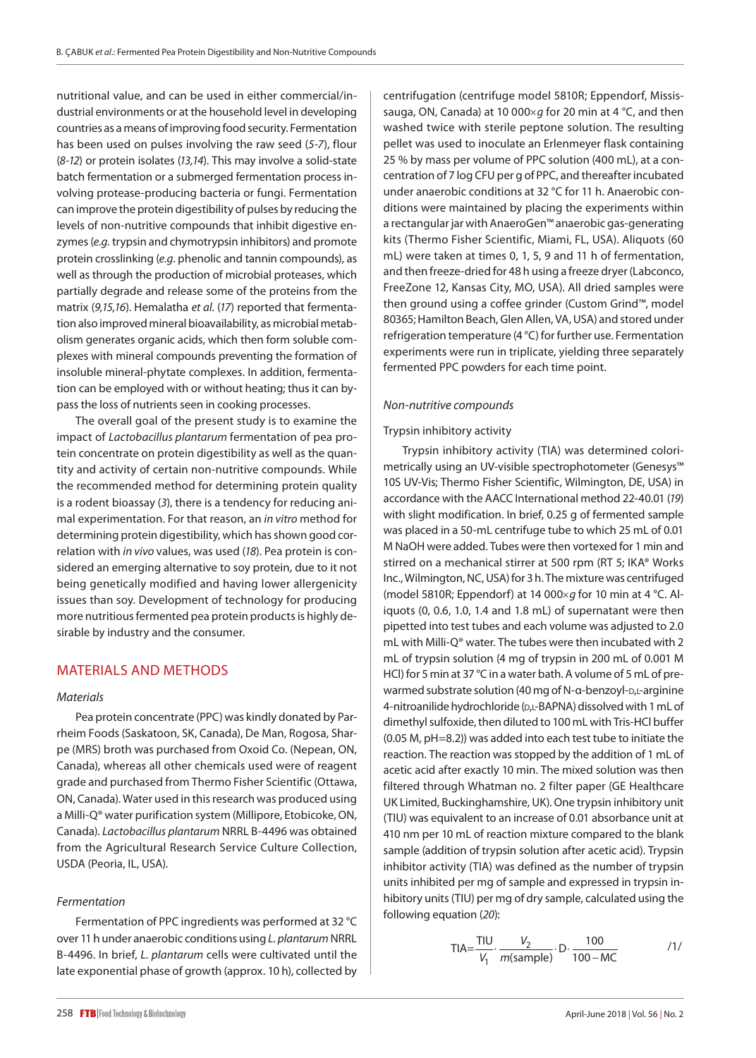nutritional value, and can be used in either commercial/industrial environments or at the household level in developing countries as a means of improving food security. Fermentation has been used on pulses involving the raw seed (*5-7*), flour (*8-12*) or protein isolates (*13,14*). This may involve a solid-state batch fermentation or a submerged fermentation process involving protease-producing bacteria or fungi. Fermentation can improve the protein digestibility of pulses by reducing the levels of non-nutritive compounds that inhibit digestive enzymes (*e.g.* trypsin and chymotrypsin inhibitors) and promote protein crosslinking (*e.g*. phenolic and tannin compounds), as well as through the production of microbial proteases, which partially degrade and release some of the proteins from the matrix (*9,15,16*). Hemalatha *et al*. (*17*) reported that fermentation also improved mineral bioavailability, as microbial metabolism generates organic acids, which then form soluble complexes with mineral compounds preventing the formation of insoluble mineral-phytate complexes. In addition, fermentation can be employed with or without heating; thus it can bypass the loss of nutrients seen in cooking processes.

The overall goal of the present study is to examine the impact of *Lactobacillus plantarum* fermentation of pea protein concentrate on protein digestibility as well as the quantity and activity of certain non-nutritive compounds. While the recommended method for determining protein quality is a rodent bioassay (*3*), there is a tendency for reducing animal experimentation. For that reason, an *in vitro* method for determining protein digestibility, which has shown good correlation with *in vivo* values, was used (*18*). Pea protein is considered an emerging alternative to soy protein, due to it not being genetically modified and having lower allergenicity issues than soy. Development of technology for producing more nutritious fermented pea protein products is highly desirable by industry and the consumer.

# MATERIALS AND METHODS

#### *Materials*

Pea protein concentrate (PPC) was kindly donated by Parrheim Foods (Saskatoon, SK, Canada), De Man, Rogosa, Sharpe (MRS) broth was purchased from Oxoid Co. (Nepean, ON, Canada), whereas all other chemicals used were of reagent grade and purchased from Thermo Fisher Scientific (Ottawa, ON, Canada). Water used in this research was produced using a Milli-Q® water purification system (Millipore, Etobicoke, ON, Canada). *Lactobacillus plantarum* NRRL B-4496 was obtained from the Agricultural Research Service Culture Collection, USDA (Peoria, IL, USA).

#### *Fermentation*

Fermentation of PPC ingredients was performed at 32 °C over 11 h under anaerobic conditions using *L. plantarum* NRRL B-4496. In brief, *L. plantarum* cells were cultivated until the late exponential phase of growth (approx. 10 h), collected by centrifugation (centrifuge model 5810R; Eppendorf, Mississauga, ON, Canada) at 10 000×g for 20 min at 4 °C, and then washed twice with sterile peptone solution. The resulting pellet was used to inoculate an Erlenmeyer flask containing 25 % by mass per volume of PPC solution (400 mL), at a concentration of 7 log CFU per g of PPC, and thereafter incubated under anaerobic conditions at 32 °C for 11 h. Anaerobic conditions were maintained by placing the experiments within a rectangular jar with AnaeroGen™ anaerobic gas-generating kits (Thermo Fisher Scientific, Miami, FL, USA). Aliquots (60 mL) were taken at times 0, 1, 5, 9 and 11 h of fermentation, and then freeze-dried for 48 h using a freeze dryer (Labconco, FreeZone 12, Kansas City, MO, USA). All dried samples were then ground using a coffee grinder (Custom Grind™, model 80365; Hamilton Beach, Glen Allen, VA, USA) and stored under refrigeration temperature (4 °C) for further use. Fermentation experiments were run in triplicate, yielding three separately fermented PPC powders for each time point.

## *Non-nutritive compounds*

#### Trypsin inhibitory activity

Trypsin inhibitory activity (TIA) was determined colorimetrically using an UV-visible spectrophotometer (Genesys™ 10S UV-Vis; Thermo Fisher Scientific, Wilmington, DE, USA) in accordance with the AACC International method 22-40.01 (*19*) with slight modification. In brief, 0.25 g of fermented sample was placed in a 50-mL centrifuge tube to which 25 mL of 0.01 M NaOH were added. Tubes were then vortexed for 1 min and stirred on a mechanical stirrer at 500 rpm (RT 5; IKA® Works Inc., Wilmington, NC, USA) for 3 h. The mixture was centrifuged (model 5810R; Eppendorf) at 14 000´*g* for 10 min at 4 °C. Aliquots (0, 0.6, 1.0, 1.4 and 1.8 mL) of supernatant were then pipetted into test tubes and each volume was adjusted to 2.0 mL with Milli-Q® water. The tubes were then incubated with 2 mL of trypsin solution (4 mg of trypsin in 200 mL of 0.001 M HCl) for 5 min at 37 °C in a water bath. A volume of 5 mL of prewarmed substrate solution (40 mg of N-α-benzoyl-D,L-arginine 4-nitroanilide hydrochloride (D,L-BAPNA) dissolved with 1 mL of dimethyl sulfoxide, then diluted to 100 mL with Tris-HCl buffer (0.05 M, pH=8.2)) was added into each test tube to initiate the reaction. The reaction was stopped by the addition of 1 mL of acetic acid after exactly 10 min. The mixed solution was then filtered through Whatman no. 2 filter paper (GE Healthcare UK Limited, Buckinghamshire, UK). One trypsin inhibitory unit (TIU) was equivalent to an increase of 0.01 absorbance unit at 410 nm per 10 mL of reaction mixture compared to the blank sample (addition of trypsin solution after acetic acid). Trypsin inhibitor activity (TIA) was defined as the number of trypsin units inhibited per mg of sample and expressed in trypsin inhibitory units (TIU) per mg of dry sample, calculated using the following equation (*20*):

$$
TIA = \frac{TIU}{V_1} \cdot \frac{V_2}{m(\text{sample})} \cdot D \cdot \frac{100}{100 - MC}
$$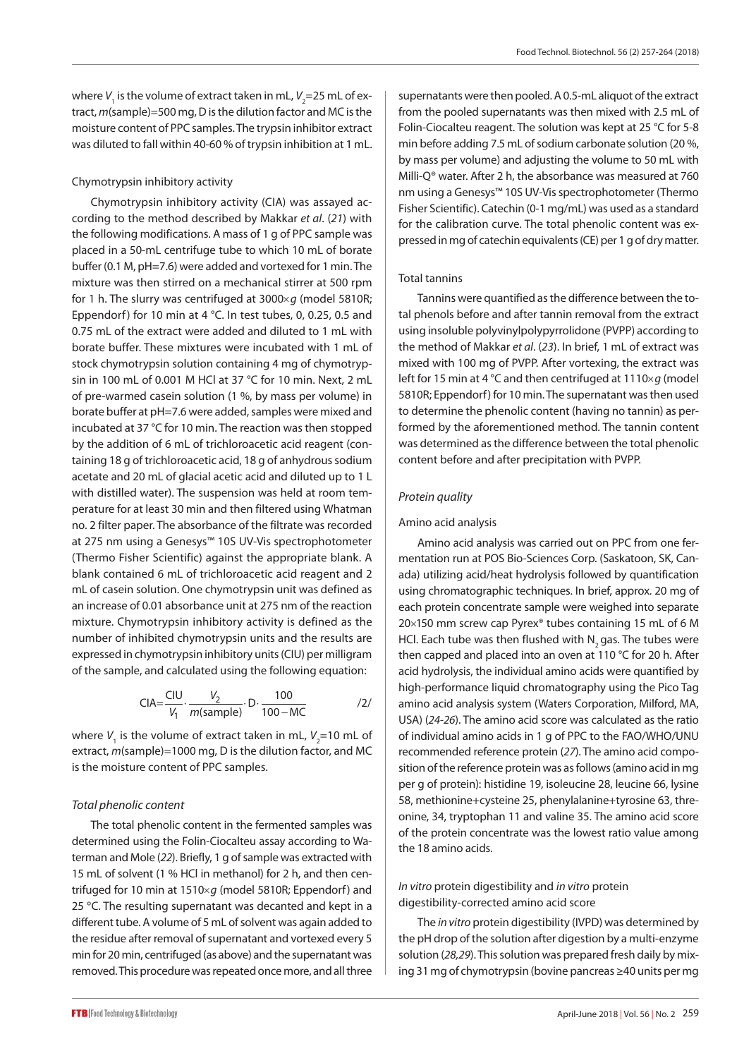where V<sub>1</sub> is the volume of extract taken in mL, V<sub>2</sub>=25 mL of extract, *m*(sample)=500 mg, D is the dilution factor and MC is the moisture content of PPC samples. The trypsin inhibitor extract was diluted to fall within 40-60 % of trypsin inhibition at 1 mL.

## Chymotrypsin inhibitory activity

Chymotrypsin inhibitory activity (CIA) was assayed according to the method described by Makkar *et al*. (*21*) with the following modifications. A mass of 1 g of PPC sample was placed in a 50-mL centrifuge tube to which 10 mL of borate buffer (0.1 M, pH=7.6) were added and vortexed for 1 min. The mixture was then stirred on a mechanical stirrer at 500 rpm for 1 h. The slurry was centrifuged at  $3000 \times g$  (model 5810R; Eppendorf) for 10 min at 4 °C. In test tubes, 0, 0.25, 0.5 and 0.75 mL of the extract were added and diluted to 1 mL with borate buffer. These mixtures were incubated with 1 mL of stock chymotrypsin solution containing 4 mg of chymotrypsin in 100 mL of 0.001 M HCl at 37 °C for 10 min. Next, 2 mL of pre-warmed casein solution (1 %, by mass per volume) in borate buffer at pH=7.6 were added, samples were mixed and incubated at 37 °C for 10 min. The reaction was then stopped by the addition of 6 mL of trichloroacetic acid reagent (containing 18 g of trichloroacetic acid, 18 g of anhydrous sodium acetate and 20 mL of glacial acetic acid and diluted up to 1 L with distilled water). The suspension was held at room temperature for at least 30 min and then filtered using Whatman no. 2 filter paper. The absorbance of the filtrate was recorded at 275 nm using a Genesys™ 10S UV-Vis spectrophotometer (Thermo Fisher Scientific) against the appropriate blank. A blank contained 6 mL of trichloroacetic acid reagent and 2 mL of casein solution. One chymotrypsin unit was defined as an increase of 0.01 absorbance unit at 275 nm of the reaction mixture. Chymotrypsin inhibitory activity is defined as the number of inhibited chymotrypsin units and the results are expressed in chymotrypsin inhibitory units (CIU) per milligram of the sample, and calculated using the following equation:

CIA=
$$
\frac{C1U}{V_1} \cdot \frac{V_2}{m(\text{sample})} \cdot D \cdot \frac{100}{100 - MC}
$$
 /2/

where  $V_{\text{1}}$  is the volume of extract taken in mL,  $V_{\text{2}}$ =10 mL of extract, *m*(sample)=1000 mg, D is the dilution factor, and MC is the moisture content of PPC samples.

## *Total phenolic content*

The total phenolic content in the fermented samples was determined using the Folin-Ciocalteu assay according to Waterman and Mole (*22*). Briefly, 1 g of sample was extracted with 15 mL of solvent (1 % HCl in methanol) for 2 h, and then centrifuged for 10 min at 1510 $\times$ *g* (model 5810R; Eppendorf) and 25 °C. The resulting supernatant was decanted and kept in a different tube. A volume of 5 mL of solvent was again added to the residue after removal of supernatant and vortexed every 5 min for 20 min, centrifuged (as above) and the supernatant was removed. This procedure was repeated once more, and all three

supernatants were then pooled. A 0.5-mL aliquot of the extract from the pooled supernatants was then mixed with 2.5 mL of Folin-Ciocalteu reagent. The solution was kept at 25 °C for 5-8 min before adding 7.5 mL of sodium carbonate solution (20 %, by mass per volume) and adjusting the volume to 50 mL with Milli-Q® water. After 2 h, the absorbance was measured at 760 nm using a Genesys™ 10S UV-Vis spectrophotometer (Thermo Fisher Scientific). Catechin (0-1 mg/mL) was used as a standard for the calibration curve. The total phenolic content was expressed in mg of catechin equivalents (CE) per 1 g of dry matter.

#### Total tannins

Tannins were quantified as the difference between the total phenols before and after tannin removal from the extract using insoluble polyvinylpolypyrrolidone (PVPP) according to the method of Makkar *et al*. (*23*). In brief, 1 mL of extract was mixed with 100 mg of PVPP. After vortexing, the extract was left for 15 min at 4 °C and then centrifuged at  $1110 \times g$  (model 5810R; Eppendorf) for 10 min. The supernatant was then used to determine the phenolic content (having no tannin) as performed by the aforementioned method. The tannin content was determined as the difference between the total phenolic content before and after precipitation with PVPP.

#### *Protein quality*

#### Amino acid analysis

Amino acid analysis was carried out on PPC from one fermentation run at POS Bio-Sciences Corp. (Saskatoon, SK, Canada) utilizing acid/heat hydrolysis followed by quantification using chromatographic techniques. In brief, approx. 20 mg of each protein concentrate sample were weighed into separate 20×150 mm screw cap Pyrex® tubes containing 15 mL of 6 M HCl. Each tube was then flushed with N<sub>2</sub> gas. The tubes were then capped and placed into an oven at 110 °C for 20 h. After acid hydrolysis, the individual amino acids were quantified by high-performance liquid chromatography using the Pico Tag amino acid analysis system (Waters Corporation, Milford, MA, USA) (*24-26*). The amino acid score was calculated as the ratio of individual amino acids in 1 g of PPC to the FAO/WHO/UNU recommended reference protein (*27*). The amino acid composition of the reference protein was as follows (amino acid in mg per g of protein): histidine 19, isoleucine 28, leucine 66, lysine 58, methionine+cysteine 25, phenylalanine+tyrosine 63, threonine, 34, tryptophan 11 and valine 35. The amino acid score of the protein concentrate was the lowest ratio value among the 18 amino acids.

*In vitro* protein digestibility and *in vitro* protein digestibility-corrected amino acid score

The *in vitro* protein digestibility (IVPD) was determined by the pH drop of the solution after digestion by a multi-enzyme solution (*28,29*). This solution was prepared fresh daily by mixing 31 mg of chymotrypsin (bovine pancreas ≥40 units per mg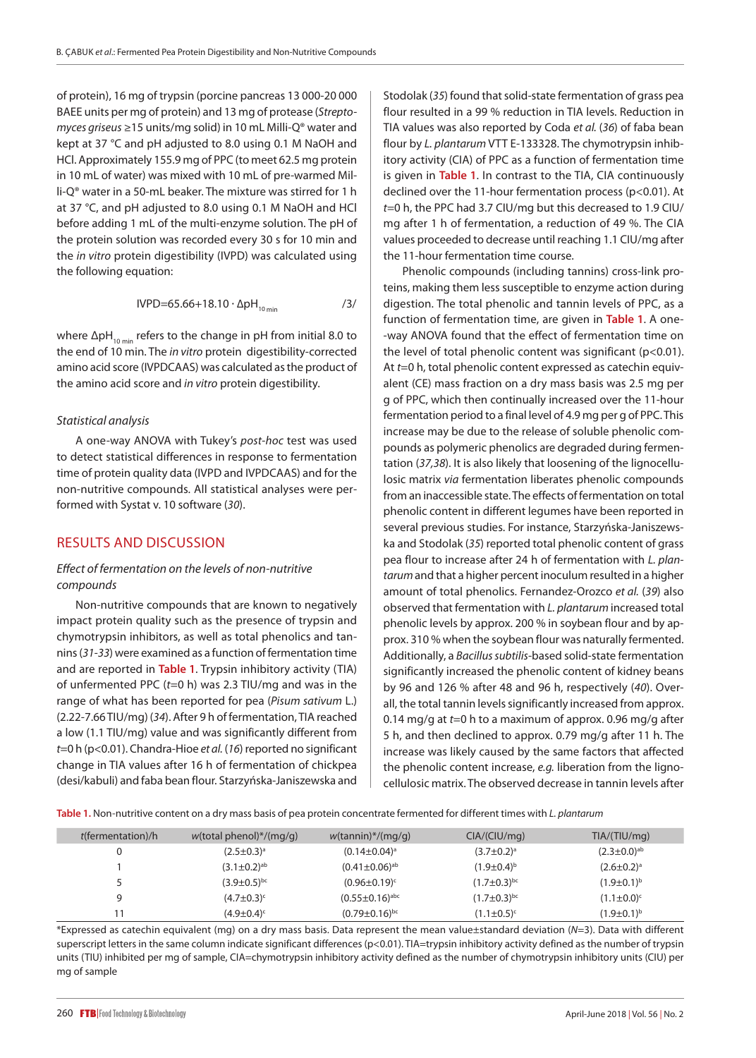of protein), 16 mg of trypsin (porcine pancreas 13 000-20 000 BAEE units per mg of protein) and 13 mg of protease (*Streptomyces griseus* ≥15 units/mg solid) in 10 mL Milli-Q® water and kept at 37 °C and pH adjusted to 8.0 using 0.1 M NaOH and HCl. Approximately 155.9 mg of PPC (to meet 62.5 mg protein in 10 mL of water) was mixed with 10 mL of pre-warmed Milli-Q® water in a 50-mL beaker. The mixture was stirred for 1 h at 37 °C, and pH adjusted to 8.0 using 0.1 M NaOH and HCl before adding 1 mL of the multi-enzyme solution. The pH of the protein solution was recorded every 30 s for 10 min and the *in vitro* protein digestibility (IVPD) was calculated using the following equation:

$$
IVPD=65.66+18.10 \cdot \Delta pH_{10 min} \tag{3/}
$$

where  $\Delta$ pH<sub>10 min</sub> refers to the change in pH from initial 8.0 to the end of 10 min. The *in vitro* protein digestibility-corrected amino acid score (IVPDCAAS) was calculated as the product of the amino acid score and *in vitro* protein digestibility.

#### *Statistical analysis*

A one-way ANOVA with Tukey's *post-hoc* test was used to detect statistical differences in response to fermentation time of protein quality data (IVPD and IVPDCAAS) and for the non-nutritive compounds. All statistical analyses were performed with Systat v. 10 software (*30*).

## RESULTS AND DISCUSSION

## *Effect of fermentation on the levels of non-nutritive compounds*

Non-nutritive compounds that are known to negatively impact protein quality such as the presence of trypsin and chymotrypsin inhibitors, as well as total phenolics and tannins (*31-33*) were examined as a function of fermentation time and are reported in **Table 1**. Trypsin inhibitory activity (TIA) of unfermented PPC (*t*=0 h) was 2.3 TIU/mg and was in the range of what has been reported for pea (*Pisum sativum* L.) (2.22-7.66 TIU/mg) (*34*). After 9 h of fermentation, TIA reached a low (1.1 TIU/mg) value and was significantly different from *t*=0 h (p<0.01). Chandra-Hioe *et al.* (*16*) reported no significant change in TIA values after 16 h of fermentation of chickpea (desi/kabuli) and faba bean flour. Starzyńska-Janiszewska and Stodolak (*35*) found that solid-state fermentation of grass pea flour resulted in a 99 % reduction in TIA levels. Reduction in TIA values was also reported by Coda *et al.* (*36*) of faba bean flour by *L. plantarum* VTT E-133328. The chymotrypsin inhibitory activity (CIA) of PPC as a function of fermentation time is given in **Table 1**. In contrast to the TIA, CIA continuously declined over the 11-hour fermentation process (p<0.01). At *t*=0 h, the PPC had 3.7 CIU/mg but this decreased to 1.9 CIU/ mg after 1 h of fermentation, a reduction of 49 %. The CIA values proceeded to decrease until reaching 1.1 CIU/mg after the 11-hour fermentation time course.

Phenolic compounds (including tannins) cross-link proteins, making them less susceptible to enzyme action during digestion. The total phenolic and tannin levels of PPC, as a function of fermentation time, are given in **Table 1**. A one- -way ANOVA found that the effect of fermentation time on the level of total phenolic content was significant (p<0.01). At *t*=0 h, total phenolic content expressed as catechin equivalent (CE) mass fraction on a dry mass basis was 2.5 mg per g of PPC, which then continually increased over the 11-hour fermentation period to a final level of 4.9 mg per g of PPC. This increase may be due to the release of soluble phenolic compounds as polymeric phenolics are degraded during fermentation (*37,38*). It is also likely that loosening of the lignocellulosic matrix *via* fermentation liberates phenolic compounds from an inaccessible state. The effects of fermentation on total phenolic content in different legumes have been reported in several previous studies. For instance, Starzyńska-Janiszewska and Stodolak (*35*) reported total phenolic content of grass pea flour to increase after 24 h of fermentation with *L. plantarum* and that a higher percent inoculum resulted in a higher amount of total phenolics. Fernandez-Orozco *et al.* (*39*) also observed that fermentation with *L. plantarum* increased total phenolic levels by approx. 200 % in soybean flour and by approx. 310 % when the soybean flour was naturally fermented. Additionally, a *Bacillus subtilis*-based solid-state fermentation significantly increased the phenolic content of kidney beans by 96 and 126 % after 48 and 96 h, respectively (*40*). Overall, the total tannin levels significantly increased from approx. 0.14 mg/g at *t*=0 h to a maximum of approx. 0.96 mg/g after 5 h, and then declined to approx. 0.79 mg/g after 11 h. The increase was likely caused by the same factors that affected the phenolic content increase, *e.g.* liberation from the lignocellulosic matrix. The observed decrease in tannin levels after

**Table 1.** Non-nutritive content on a dry mass basis of pea protein concentrate fermented for different times with *L. plantarum*

| t(fermentation)/h | $w$ (total phenol)*/(mg/g) | $w(tannin)*/(mq/q)$     | CIA/ (CIU/mq)        | TIA/(TIU/mq)         |
|-------------------|----------------------------|-------------------------|----------------------|----------------------|
| 0                 | $(2.5 \pm 0.3)^a$          | $(0.14 \pm 0.04)^a$     | $(3.7 \pm 0.2)^a$    | $(2.3 \pm 0.0)^{ab}$ |
|                   | $(3.1 \pm 0.2)^{ab}$       | $(0.41 \pm 0.06)^{ab}$  | $(1.9 \pm 0.4)^{b}$  | $(2.6 \pm 0.2)^a$    |
|                   | $(3.9 \pm 0.5)^{bc}$       | $(0.96 \pm 0.19)^c$     | $(1.7 \pm 0.3)^{bc}$ | $(1.9 \pm 0.1)^{b}$  |
| 9                 | $(4.7 \pm 0.3)^c$          | $(0.55 \pm 0.16)^{abc}$ | $(1.7 \pm 0.3)^{bc}$ | $(1.1 \pm 0.0)^c$    |
| 11                | $(4.9 \pm 0.4)^c$          | $(0.79 \pm 0.16)^{bc}$  | $(1.1 \pm 0.5)^c$    | $(1.9 \pm 0.1)^{b}$  |

\*Expressed as catechin equivalent (mg) on a dry mass basis. Data represent the mean value±standard deviation (*N*=3). Data with different superscript letters in the same column indicate significant differences (p<0.01). TIA=trypsin inhibitory activity defined as the number of trypsin units (TIU) inhibited per mg of sample, CIA=chymotrypsin inhibitory activity defined as the number of chymotrypsin inhibitory units (CIU) per mg of sample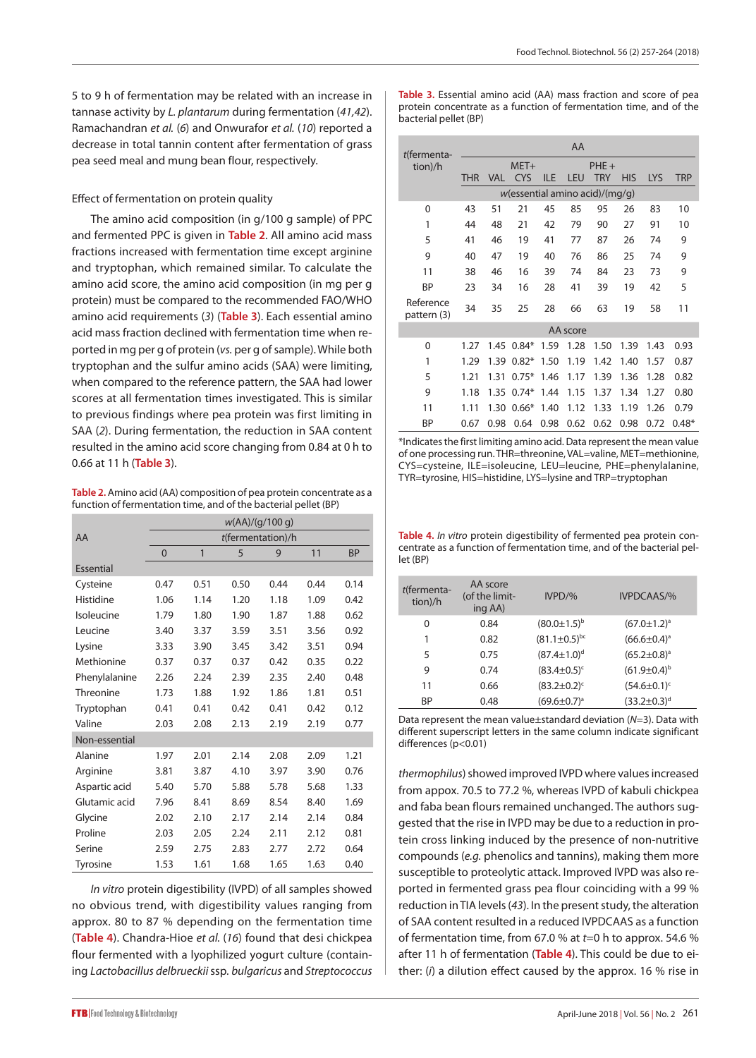5 to 9 h of fermentation may be related with an increase in tannase activity by *L. plantarum* during fermentation (*41,42*). Ramachandran *et al.* (*6*) and Onwurafor *et al.* (*10*) reported a decrease in total tannin content after fermentation of grass pea seed meal and mung bean flour, respectively.

#### Effect of fermentation on protein quality

The amino acid composition (in g/100 g sample) of PPC and fermented PPC is given in **Table 2**. All amino acid mass fractions increased with fermentation time except arginine and tryptophan, which remained similar. To calculate the amino acid score, the amino acid composition (in mg per g protein) must be compared to the recommended FAO/WHO amino acid requirements (*3*) (**Table 3**). Each essential amino acid mass fraction declined with fermentation time when reported in mg per g of protein (*vs.* per g of sample). While both tryptophan and the sulfur amino acids (SAA) were limiting, when compared to the reference pattern, the SAA had lower scores at all fermentation times investigated. This is similar to previous findings where pea protein was first limiting in SAA (*2*). During fermentation, the reduction in SAA content resulted in the amino acid score changing from 0.84 at 0 h to 0.66 at 11 h (**Table 3**).

| <b>Table 2.</b> Amino acid (AA) composition of pea protein concentrate as a |
|-----------------------------------------------------------------------------|
| function of fermentation time, and of the bacterial pellet (BP)             |

|                 | w(AA)/(g/100 g)   |      |      |      |      |           |  |  |
|-----------------|-------------------|------|------|------|------|-----------|--|--|
| AA              | t(fermentation)/h |      |      |      |      |           |  |  |
|                 | $\Omega$          | 1    | 5    | 9    | 11   | <b>BP</b> |  |  |
| Essential       |                   |      |      |      |      |           |  |  |
| Cysteine        | 0.47              | 0.51 | 0.50 | 0.44 | 0.44 | 0.14      |  |  |
| Histidine       | 1.06              | 1.14 | 1.20 | 1.18 | 1.09 | 0.42      |  |  |
| Isoleucine      | 1.79              | 1.80 | 1.90 | 1.87 | 1.88 | 0.62      |  |  |
| Leucine         | 3.40              | 3.37 | 3.59 | 3.51 | 3.56 | 0.92      |  |  |
| Lysine          | 3.33              | 3.90 | 3.45 | 3.42 | 3.51 | 0.94      |  |  |
| Methionine      | 0.37              | 0.37 | 0.37 | 0.42 | 0.35 | 0.22      |  |  |
| Phenylalanine   | 2.26              | 2.24 | 2.39 | 2.35 | 2.40 | 0.48      |  |  |
| Threonine       | 1.73              | 1.88 | 1.92 | 1.86 | 1.81 | 0.51      |  |  |
| Tryptophan      | 0.41              | 0.41 | 0.42 | 0.41 | 0.42 | 0.12      |  |  |
| Valine          | 2.03              | 2.08 | 2.13 | 2.19 | 2.19 | 0.77      |  |  |
| Non-essential   |                   |      |      |      |      |           |  |  |
| Alanine         | 1.97              | 2.01 | 2.14 | 2.08 | 2.09 | 1.21      |  |  |
| Arginine        | 3.81              | 3.87 | 4.10 | 3.97 | 3.90 | 0.76      |  |  |
| Aspartic acid   | 5.40              | 5.70 | 5.88 | 5.78 | 5.68 | 1.33      |  |  |
| Glutamic acid   | 7.96              | 8.41 | 8.69 | 8.54 | 8.40 | 1.69      |  |  |
| Glycine         | 2.02              | 2.10 | 2.17 | 2.14 | 2.14 | 0.84      |  |  |
| Proline         | 2.03              | 2.05 | 2.24 | 2.11 | 2.12 | 0.81      |  |  |
| Serine          | 2.59              | 2.75 | 2.83 | 2.77 | 2.72 | 0.64      |  |  |
| <b>Tyrosine</b> | 1.53              | 1.61 | 1.68 | 1.65 | 1.63 | 0.40      |  |  |

*In vitro* protein digestibility (IVPD) of all samples showed no obvious trend, with digestibility values ranging from approx. 80 to 87 % depending on the fermentation time (**Table 4**). Chandra-Hioe *et al.* (*16*) found that desi chickpea flour fermented with a lyophilized yogurt culture (containing *Lactobacillus delbrueckii* ssp*. bulgaricus* and *Streptococcus* 

**Table 3.** Essential amino acid (AA) mass fraction and score of pea protein concentrate as a function of fermentation time, and of the bacterial pellet (BP)

| t(fermenta-              | AA              |                                   |            |      |          |            |            |            |            |
|--------------------------|-----------------|-----------------------------------|------------|------|----------|------------|------------|------------|------------|
| tion)/h                  | MET+<br>$PHE +$ |                                   |            |      |          |            |            |            |            |
|                          | THR             | <b>VAL</b>                        | <b>CYS</b> | ILE  | LEU      | <b>TRY</b> | <b>HIS</b> | <b>LYS</b> | <b>TRP</b> |
|                          |                 | $w$ (essential amino acid)/(mg/g) |            |      |          |            |            |            |            |
| 0                        | 43              | 51                                | 21         | 45   | 85       | 95         | 26         | 83         | 10         |
| 1                        | 44              | 48                                | 21         | 42   | 79       | 90         | 27         | 91         | 10         |
| 5                        | 41              | 46                                | 19         | 41   | 77       | 87         | 26         | 74         | 9          |
| 9                        | 40              | 47                                | 19         | 40   | 76       | 86         | 25         | 74         | 9          |
| 11                       | 38              | 46                                | 16         | 39   | 74       | 84         | 23         | 73         | 9          |
| ΒP                       | 23              | 34                                | 16         | 28   | 41       | 39         | 19         | 42         | 5          |
| Reference<br>pattern (3) | 34              | 35                                | 25         | 28   | 66       | 63         | 19         | 58         | 11         |
|                          |                 |                                   |            |      | AA score |            |            |            |            |
| 0                        | 1.27            | 1.45                              | $0.84*$    | 1.59 | 1.28     | 1.50       | 1.39       | 1.43       | 0.93       |
| 1                        | 1.29            | 1.39                              | $0.82*$    | 1.50 | 1.19     | 1.42       | 1.40       | 1.57       | 0.87       |
| 5                        | 1.21            | 1.31                              | $0.75*$    | 1.46 | 1.17     | 1.39       | 1.36       | 1.28       | 0.82       |
| 9                        | 1.18            | 1.35                              | $0.74*$    | 1.44 | 1.15     | 1.37       | 1.34       | 1.27       | 0.80       |
| 11                       | 1.11            | 1.30                              | $0.66*$    | 1.40 | 1.12     | 1.33       | 1.19       | 1.26       | 0.79       |
| ΒP                       | 0.67            | 0.98                              | 0.64       | 0.98 | 0.62     | 0.62       | 0.98       | 0.72       | $0.48*$    |

\*Indicates the first limiting amino acid. Data represent the mean value of one processing run. THR=threonine, VAL=valine, MET=methionine, CYS=cysteine, ILE=isoleucine, LEU=leucine, PHE=phenylalanine, TYR=tyrosine, HIS=histidine, LYS=lysine and TRP=tryptophan

**Table 4.** *In vitro* protein digestibility of fermented pea protein concentrate as a function of fermentation time, and of the bacterial pellet (BP)

| t(fermenta-<br>tion)/h | AA score<br>(of the limit-<br>ing AA) | IVPD/%                | IVPDCAAS/%                    |
|------------------------|---------------------------------------|-----------------------|-------------------------------|
| 0                      | 0.84                                  | $(80.0 \pm 1.5)^{b}$  | $(67.0 \pm 1.2)^a$            |
| 1                      | 0.82                                  | $(81.1 \pm 0.5)^{bc}$ | $(66.6 \pm 0.4)^a$            |
| 5                      | 0.75                                  | $(87.4 \pm 1.0)^d$    | $(65.2 \pm 0.8)^a$            |
| 9                      | 0.74                                  | $(83.4 \pm 0.5)^c$    | $(61.9 \pm 0.4)^{b}$          |
| 11                     | 0.66                                  | $(83.2 \pm 0.2)^c$    | $(54.6 \pm 0.1)^c$            |
| ВP                     | 0.48                                  | $(69.6 \pm 0.7)^a$    | $(33.2 \pm 0.3)$ <sup>d</sup> |

Data represent the mean value±standard deviation (*N*=3). Data with different superscript letters in the same column indicate significant differences (p<0.01)

*thermophilus*) showed improved IVPD where values increased from appox. 70.5 to 77.2 %, whereas IVPD of kabuli chickpea and faba bean flours remained unchanged. The authors suggested that the rise in IVPD may be due to a reduction in protein cross linking induced by the presence of non-nutritive compounds (*e.g.* phenolics and tannins), making them more susceptible to proteolytic attack. Improved IVPD was also reported in fermented grass pea flour coinciding with a 99 % reduction in TIA levels (*43*). In the present study, the alteration of SAA content resulted in a reduced IVPDCAAS as a function of fermentation time, from 67.0 % at *t*=0 h to approx. 54.6 % after 11 h of fermentation (**Table 4**). This could be due to either: (*i*) a dilution effect caused by the approx. 16 % rise in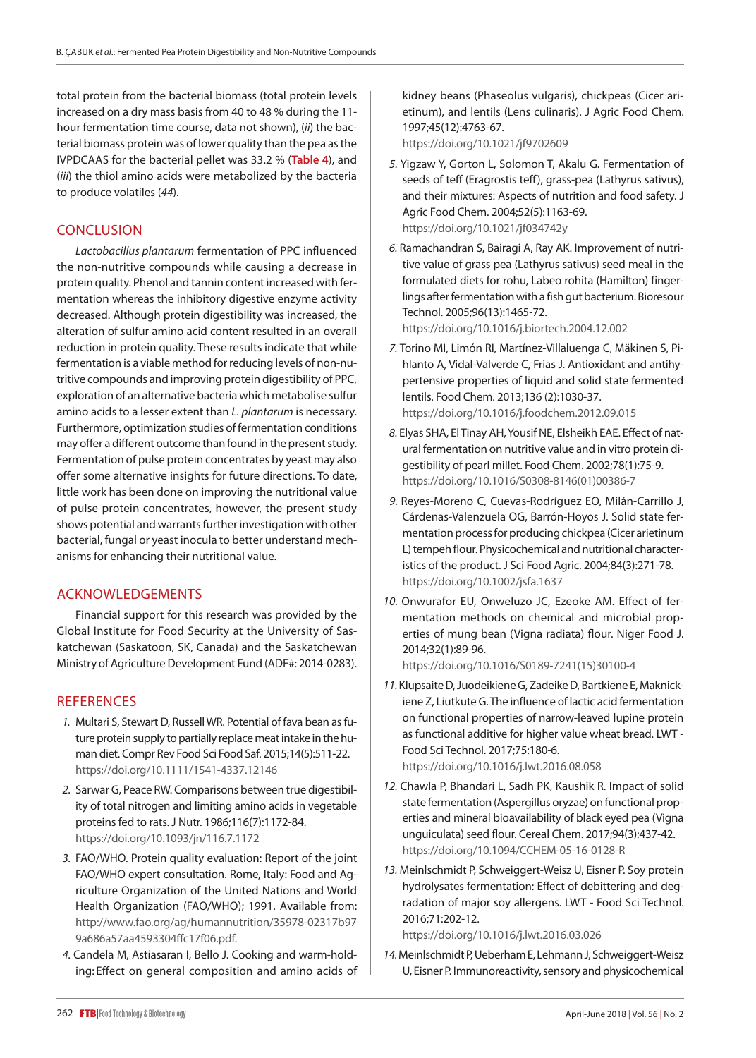total protein from the bacterial biomass (total protein levels increased on a dry mass basis from 40 to 48 % during the 11 hour fermentation time course, data not shown), (*ii*) the bacterial biomass protein was of lower quality than the pea as the IVPDCAAS for the bacterial pellet was 33.2 % (**Table 4**), and (*iii*) the thiol amino acids were metabolized by the bacteria to produce volatiles (*44*).

# **CONCLUSION**

*Lactobacillus plantarum* fermentation of PPC influenced the non-nutritive compounds while causing a decrease in protein quality. Phenol and tannin content increased with fermentation whereas the inhibitory digestive enzyme activity decreased. Although protein digestibility was increased, the alteration of sulfur amino acid content resulted in an overall reduction in protein quality. These results indicate that while fermentation is a viable method for reducing levels of non-nutritive compounds and improving protein digestibility of PPC, exploration of an alternative bacteria which metabolise sulfur amino acids to a lesser extent than *L. plantarum* is necessary. Furthermore, optimization studies of fermentation conditions may offer a different outcome than found in the present study. Fermentation of pulse protein concentrates by yeast may also offer some alternative insights for future directions. To date, little work has been done on improving the nutritional value of pulse protein concentrates, however, the present study shows potential and warrants further investigation with other bacterial, fungal or yeast inocula to better understand mechanisms for enhancing their nutritional value.

# ACKNOWLEDGEMENTS

Financial support for this research was provided by the Global Institute for Food Security at the University of Saskatchewan (Saskatoon, SK, Canada) and the Saskatchewan Ministry of Agriculture Development Fund (ADF#: 2014-0283).

# **REFERENCES**

- *1.* Multari S, Stewart D, Russell WR. Potential of fava bean as future protein supply to partially replace meat intake in the human diet. Compr Rev Food Sci Food Saf. 2015;14(5):511-22. https://doi.org/10.1111/1541-4337.12146
- *2.* Sarwar G, Peace RW. Comparisons between true digestibility of total nitrogen and limiting amino acids in vegetable proteins fed to rats. J Nutr. 1986;116(7):1172-84. https://doi.org/10.1093/jn/116.7.1172
- *3.* FAO/WHO. Protein quality evaluation: Report of the joint FAO/WHO expert consultation. Rome, Italy: Food and Agriculture Organization of the United Nations and World Health Organization (FAO/WHO); 1991. Available from: http://www.fao.org/ag/humannutrition/35978-02317b97 9a686a57aa4593304ffc17f06.pdf.
- *4.* Candela M, Astiasaran I, Bello J. Cooking and warm-holding: Effect on general composition and amino acids of

kidney beans (Phaseolus vulgaris), chickpeas (Cicer arietinum), and lentils (Lens culinaris). J Agric Food Chem. 1997;45(12):4763-67.

https://doi.org/10.1021/jf9702609

- *5.* Yigzaw Y, Gorton L, Solomon T, Akalu G. Fermentation of seeds of teff (Eragrostis teff), grass-pea (Lathyrus sativus), and their mixtures: Aspects of nutrition and food safety. J Agric Food Chem. 2004;52(5):1163-69. https://doi.org/10.1021/jf034742y
- *6.* Ramachandran S, Bairagi A, Ray AK. Improvement of nutritive value of grass pea (Lathyrus sativus) seed meal in the formulated diets for rohu, Labeo rohita (Hamilton) fingerlings after fermentation with a fish gut bacterium. Bioresour Technol. 2005;96(13):1465-72.

https://doi.org/10.1016/j.biortech.2004.12.002

- *7.* Torino MI, Limón RI, Martínez-Villaluenga C, Mäkinen S, Pihlanto A, Vidal-Valverde C, Frias J. Antioxidant and antihypertensive properties of liquid and solid state fermented lentils. Food Chem. 2013;136 (2):1030-37. https://doi.org/10.1016/j.foodchem.2012.09.015
- *8.* Elyas SHA, El Tinay AH, Yousif NE, Elsheikh EAE. Effect of natural fermentation on nutritive value and in vitro protein digestibility of pearl millet. Food Chem. 2002;78(1):75-9. https://doi.org/10.1016/S0308-8146(01)00386-7
- *9.* Reyes-Moreno C, Cuevas-Rodríguez EO, Milán-Carrillo J, Cárdenas-Valenzuela OG, Barrón-Hoyos J. Solid state fermentation process for producing chickpea (Cicer arietinum L) tempeh flour. Physicochemical and nutritional characteristics of the product. J Sci Food Agric. 2004;84(3):271-78. https://doi.org/10.1002/jsfa.1637
- *10.* Onwurafor EU, Onweluzo JC, Ezeoke AM. Effect of fermentation methods on chemical and microbial properties of mung bean (Vigna radiata) flour. Niger Food J. 2014;32(1):89-96.

https://doi.org/10.1016/S0189-7241(15)30100-4

- *11.* Klupsaite D, Juodeikiene G, Zadeike D, Bartkiene E, Maknickiene Z, Liutkute G. The influence of lactic acid fermentation on functional properties of narrow-leaved lupine protein as functional additive for higher value wheat bread. LWT - Food Sci Technol. 2017;75:180-6. https://doi.org/10.1016/j.lwt.2016.08.058
- *12.* Chawla P, Bhandari L, Sadh PK, Kaushik R. Impact of solid state fermentation (Aspergillus oryzae) on functional properties and mineral bioavailability of black eyed pea (Vigna unguiculata) seed flour. Cereal Chem. 2017;94(3):437-42. https://doi.org/10.1094/CCHEM-05-16-0128-R
- *13.* Meinlschmidt P, Schweiggert-Weisz U, Eisner P. Soy protein hydrolysates fermentation: Effect of debittering and degradation of major soy allergens. LWT - Food Sci Technol. 2016;71:202-12.

https://doi.org/10.1016/j.lwt.2016.03.026

*14.* Meinlschmidt P, Ueberham E, Lehmann J, Schweiggert-Weisz U, Eisner P. Immunoreactivity, sensory and physicochemical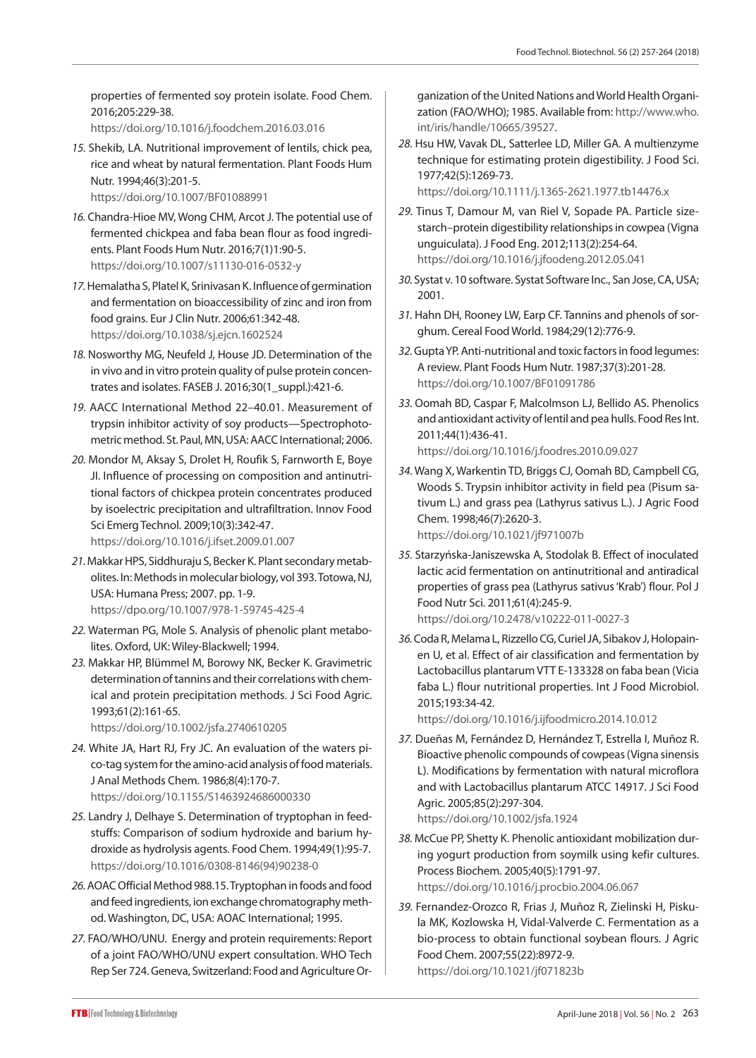properties of fermented soy protein isolate. Food Chem. 2016;205:229-38.

https://doi.org/10.1016/j.foodchem.2016.03.016

- *15.* Shekib, LA. Nutritional improvement of lentils, chick pea, rice and wheat by natural fermentation. Plant Foods Hum Nutr. 1994;46(3):201-5. https://doi.org/10.1007/BF01088991
- *16.* Chandra-Hioe MV, Wong CHM, Arcot J. The potential use of fermented chickpea and faba bean flour as food ingredients. Plant Foods Hum Nutr. 2016;7(1)1:90-5. https://doi.org/10.1007/s11130-016-0532-y
- *17.* Hemalatha S, Platel K, Srinivasan K. Influence of germination and fermentation on bioaccessibility of zinc and iron from food grains. Eur J Clin Nutr. 2006;61:342-48. https://doi.org/10.1038/sj.ejcn.1602524
- *18.* Nosworthy MG, Neufeld J, House JD. Determination of the in vivo and in vitro protein quality of pulse protein concentrates and isolates. FASEB J. 2016;30(1\_suppl.):421-6.
- *19.* AACC International Method 22–40.01. Measurement of trypsin inhibitor activity of soy products—Spectrophotometric method. St. Paul, MN, USA: AACC International; 2006.
- *20.* Mondor M, Aksay S, Drolet H, Roufik S, Farnworth E, Boye JI. Influence of processing on composition and antinutritional factors of chickpea protein concentrates produced by isoelectric precipitation and ultrafiltration. Innov Food Sci Emerg Technol. 2009;10(3):342-47. https://doi.org/10.1016/j.ifset.2009.01.007
- *21.* Makkar HPS, Siddhuraju S, Becker K. Plant secondary metabolites. In: Methods in molecular biology, vol 393. Totowa, NJ, USA: Humana Press; 2007. pp. 1-9. https://dpo.org/10.1007/978-1-59745-425-4
- *22.* Waterman PG, Mole S. Analysis of phenolic plant metabolites. Oxford, UK: Wiley-Blackwell; 1994.
- *23.* Makkar HP, Blümmel M, Borowy NK, Becker K. Gravimetric determination of tannins and their correlations with chemical and protein precipitation methods. J Sci Food Agric. 1993;61(2):161-65.

https://doi.org/10.1002/jsfa.2740610205

- *24.* White JA, Hart RJ, Fry JC. An evaluation of the waters pico-tag system for the amino-acid analysis of food materials. J Anal Methods Chem. 1986;8(4):170-7. https://doi.org/10.1155/S1463924686000330
- *25.* Landry J, Delhaye S. Determination of tryptophan in feedstuffs: Comparison of sodium hydroxide and barium hydroxide as hydrolysis agents. Food Chem. 1994;49(1):95-7. https://doi.org/10.1016/0308-8146(94)90238-0
- *26.* AOAC Official Method 988.15. Tryptophan in foods and food and feed ingredients, ion exchange chromatography method. Washington, DC, USA: AOAC International; 1995.
- *27.* FAO/WHO/UNU. Energy and protein requirements: Report of a joint FAO/WHO/UNU expert consultation. WHO Tech Rep Ser 724. Geneva, Switzerland: Food and Agriculture Or-

ganization of the United Nations and World Health Organization (FAO/WHO); 1985. Available from: http://www.who. int/iris/handle/10665/39527.

- *28.* Hsu HW, Vavak DL, Satterlee LD, Miller GA. A multienzyme technique for estimating protein digestibility. J Food Sci. 1977;42(5):1269-73. https://doi.org/10.1111/j.1365-2621.1977.tb14476.x
- *29.* Tinus T, Damour M, van Riel V, Sopade PA. Particle sizestarch–protein digestibility relationships in cowpea (Vigna unguiculata). J Food Eng. 2012;113(2):254-64. <https://doi.org/10.1016/j.jfoodeng.2012.05.041>
- *30.* Systat v. 10 software. Systat Software Inc., San Jose, CA, USA; 2001.
- *31.* Hahn DH, Rooney LW, Earp CF. Tannins and phenols of sorghum. Cereal Food World. 1984;29(12):776-9.
- *32.* Gupta YP. Anti-nutritional and toxic factors in food legumes: A review. Plant Foods Hum Nutr. 1987;37(3):201-28. https://doi.org/10.1007/BF01091786
- *33.* Oomah BD, Caspar F, Malcolmson LJ, Bellido AS. Phenolics and antioxidant activity of lentil and pea hulls. Food Res Int. 2011;44(1):436-41.
	- https://doi.org/10.1016/j.foodres.2010.09.027
- *34.* Wang X, Warkentin TD, Briggs CJ, Oomah BD, Campbell CG, Woods S. Trypsin inhibitor activity in field pea (Pisum sativum L.) and grass pea (Lathyrus sativus L.). J Agric Food Chem. 1998;46(7):2620-3. https://doi.org/10.1021/jf971007b
- *35.* Starzyńska-Janiszewska A, Stodolak B. Effect of inoculated lactic acid fermentation on antinutritional and antiradical properties of grass pea (Lathyrus sativus 'Krab') flour. Pol J Food Nutr Sci. 2011;61(4):245-9. https://doi.org/10.2478/v10222-011-0027-3
- *36.* Coda R, Melama L, Rizzello CG, Curiel JA, Sibakov J, Holopainen U, et al. Effect of air classification and fermentation by Lactobacillus plantarum VTT E-133328 on faba bean (Vicia faba L.) flour nutritional properties. Int J Food Microbiol. 2015;193:34-42.

https://doi.org/10.1016/j.ijfoodmicro.2014.10.012

- *37.* Dueñas M, Fernández D, Hernández T, Estrella I, Muñoz R. Bioactive phenolic compounds of cowpeas (Vigna sinensis L). Modifications by fermentation with natural microflora and with Lactobacillus plantarum ATCC 14917. J Sci Food Agric. 2005;85(2):297-304. https://doi.org/10.1002/jsfa.1924
- *38.* McCue PP, Shetty K. Phenolic antioxidant mobilization during yogurt production from soymilk using kefir cultures. Process Biochem. 2005;40(5):1791-97. https://doi.org/10.1016/j.procbio.2004.06.067
- *39.* Fernandez-Orozco R, Frias J, Muñoz R, Zielinski H, Piskula MK, Kozlowska H, Vidal-Valverde C. Fermentation as a bio-process to obtain functional soybean flours. J Agric Food Chem. 2007;55(22):8972-9. https://doi.org/10.1021/jf071823b